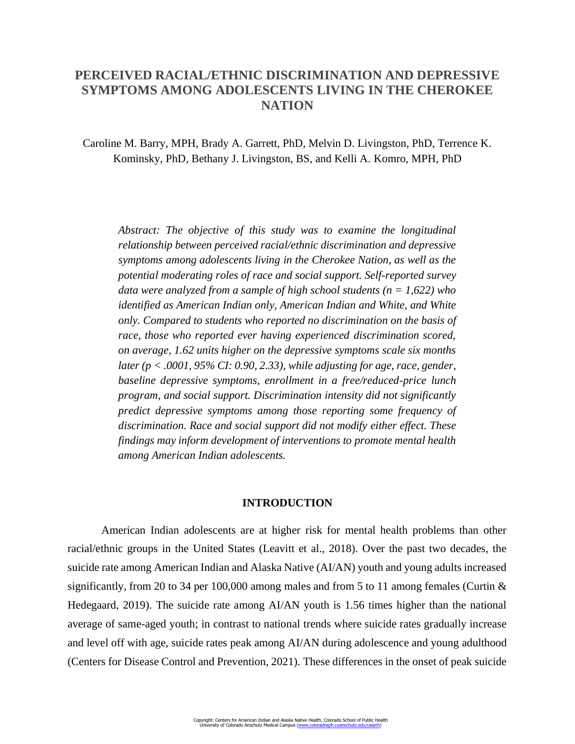# **PERCEIVED RACIAL/ETHNIC DISCRIMINATION AND DEPRESSIVE SYMPTOMS AMONG ADOLESCENTS LIVING IN THE CHEROKEE NATION**

Caroline M. Barry, MPH, Brady A. Garrett, PhD, Melvin D. Livingston, PhD, Terrence K. Kominsky, PhD, Bethany J. Livingston, BS, and Kelli A. Komro, MPH, PhD

*Abstract: The objective of this study was to examine the longitudinal relationship between perceived racial/ethnic discrimination and depressive symptoms among adolescents living in the Cherokee Nation, as well as the potential moderating roles of race and social support. Self-reported survey data were analyzed from a sample of high school students (n = 1,622) who identified as American Indian only, American Indian and White, and White only. Compared to students who reported no discrimination on the basis of race, those who reported ever having experienced discrimination scored, on average, 1.62 units higher on the depressive symptoms scale six months later (p < .0001, 95% CI: 0.90, 2.33), while adjusting for age, race, gender, baseline depressive symptoms, enrollment in a free/reduced-price lunch program, and social support. Discrimination intensity did not significantly predict depressive symptoms among those reporting some frequency of discrimination. Race and social support did not modify either effect. These findings may inform development of interventions to promote mental health among American Indian adolescents.*

# **INTRODUCTION**

American Indian adolescents are at higher risk for mental health problems than other racial/ethnic groups in the United States (Leavitt et al., 2018). Over the past two decades, the suicide rate among American Indian and Alaska Native (AI/AN) youth and young adults increased significantly, from 20 to 34 per 100,000 among males and from 5 to 11 among females (Curtin & Hedegaard, 2019). The suicide rate among AI/AN youth is 1.56 times higher than the national average of same-aged youth; in contrast to national trends where suicide rates gradually increase and level off with age, suicide rates peak among AI/AN during adolescence and young adulthood (Centers for Disease Control and Prevention, 2021). These differences in the onset of peak suicide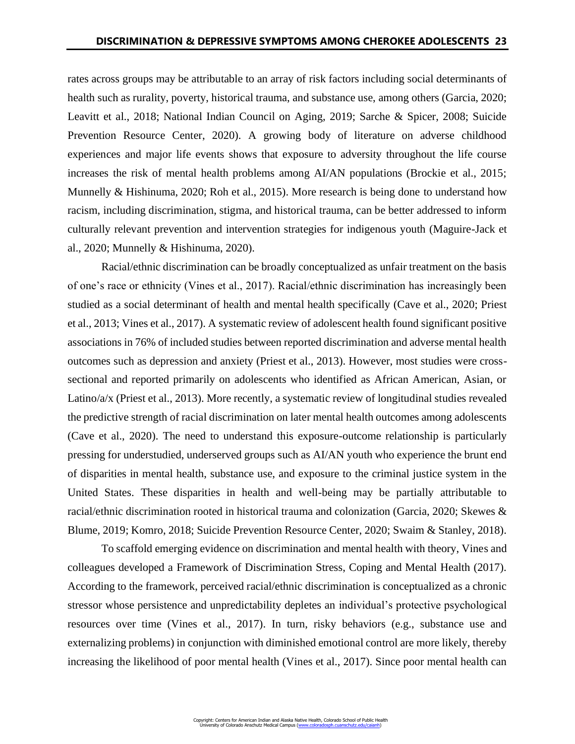rates across groups may be attributable to an array of risk factors including social determinants of health such as rurality, poverty, historical trauma, and substance use, among others (Garcia, 2020; Leavitt et al., 2018; National Indian Council on Aging, 2019; Sarche & Spicer, 2008; Suicide Prevention Resource Center, 2020). A growing body of literature on adverse childhood experiences and major life events shows that exposure to adversity throughout the life course increases the risk of mental health problems among AI/AN populations (Brockie et al., 2015; Munnelly & Hishinuma, 2020; Roh et al., 2015). More research is being done to understand how racism, including discrimination, stigma, and historical trauma, can be better addressed to inform culturally relevant prevention and intervention strategies for indigenous youth (Maguire-Jack et al., 2020; Munnelly & Hishinuma, 2020).

Racial/ethnic discrimination can be broadly conceptualized as unfair treatment on the basis of one's race or ethnicity (Vines et al., 2017). Racial/ethnic discrimination has increasingly been studied as a social determinant of health and mental health specifically (Cave et al., 2020; Priest et al., 2013; Vines et al., 2017). A systematic review of adolescent health found significant positive associations in 76% of included studies between reported discrimination and adverse mental health outcomes such as depression and anxiety (Priest et al., 2013). However, most studies were crosssectional and reported primarily on adolescents who identified as African American, Asian, or Latino/a/x (Priest et al., 2013). More recently, a systematic review of longitudinal studies revealed the predictive strength of racial discrimination on later mental health outcomes among adolescents (Cave et al., 2020). The need to understand this exposure-outcome relationship is particularly pressing for understudied, underserved groups such as AI/AN youth who experience the brunt end of disparities in mental health, substance use, and exposure to the criminal justice system in the United States. These disparities in health and well-being may be partially attributable to racial/ethnic discrimination rooted in historical trauma and colonization (Garcia, 2020; Skewes & Blume, 2019; Komro, 2018; Suicide Prevention Resource Center, 2020; Swaim & Stanley, 2018).

To scaffold emerging evidence on discrimination and mental health with theory, Vines and colleagues developed a Framework of Discrimination Stress, Coping and Mental Health (2017). According to the framework, perceived racial/ethnic discrimination is conceptualized as a chronic stressor whose persistence and unpredictability depletes an individual's protective psychological resources over time (Vines et al., 2017). In turn, risky behaviors (e.g., substance use and externalizing problems) in conjunction with diminished emotional control are more likely, thereby increasing the likelihood of poor mental health (Vines et al., 2017). Since poor mental health can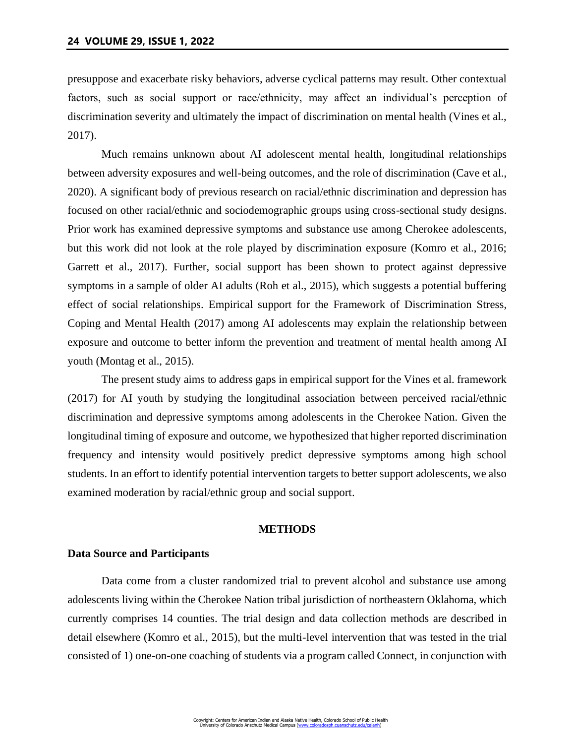presuppose and exacerbate risky behaviors, adverse cyclical patterns may result. Other contextual factors, such as social support or race/ethnicity, may affect an individual's perception of discrimination severity and ultimately the impact of discrimination on mental health (Vines et al., 2017).

Much remains unknown about AI adolescent mental health, longitudinal relationships between adversity exposures and well-being outcomes, and the role of discrimination (Cave et al., 2020). A significant body of previous research on racial/ethnic discrimination and depression has focused on other racial/ethnic and sociodemographic groups using cross-sectional study designs. Prior work has examined depressive symptoms and substance use among Cherokee adolescents, but this work did not look at the role played by discrimination exposure (Komro et al., 2016; Garrett et al., 2017). Further, social support has been shown to protect against depressive symptoms in a sample of older AI adults (Roh et al., 2015), which suggests a potential buffering effect of social relationships. Empirical support for the Framework of Discrimination Stress, Coping and Mental Health (2017) among AI adolescents may explain the relationship between exposure and outcome to better inform the prevention and treatment of mental health among AI youth (Montag et al., 2015).

The present study aims to address gaps in empirical support for the Vines et al. framework (2017) for AI youth by studying the longitudinal association between perceived racial/ethnic discrimination and depressive symptoms among adolescents in the Cherokee Nation. Given the longitudinal timing of exposure and outcome, we hypothesized that higher reported discrimination frequency and intensity would positively predict depressive symptoms among high school students. In an effort to identify potential intervention targets to better support adolescents, we also examined moderation by racial/ethnic group and social support.

## **METHODS**

## **Data Source and Participants**

Data come from a cluster randomized trial to prevent alcohol and substance use among adolescents living within the Cherokee Nation tribal jurisdiction of northeastern Oklahoma, which currently comprises 14 counties. The trial design and data collection methods are described in detail elsewhere (Komro et al., 2015), but the multi-level intervention that was tested in the trial consisted of 1) one-on-one coaching of students via a program called Connect, in conjunction with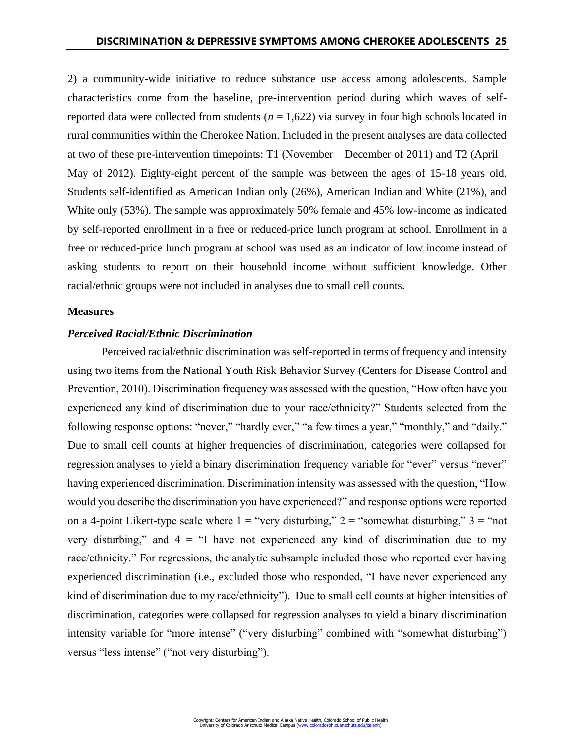2) a community-wide initiative to reduce substance use access among adolescents. Sample characteristics come from the baseline, pre-intervention period during which waves of selfreported data were collected from students (*n* = 1,622) via survey in four high schools located in rural communities within the Cherokee Nation. Included in the present analyses are data collected at two of these pre-intervention timepoints: T1 (November – December of 2011) and T2 (April – May of 2012). Eighty-eight percent of the sample was between the ages of 15-18 years old. Students self-identified as American Indian only (26%), American Indian and White (21%), and White only (53%). The sample was approximately 50% female and 45% low-income as indicated by self-reported enrollment in a free or reduced-price lunch program at school. Enrollment in a free or reduced-price lunch program at school was used as an indicator of low income instead of asking students to report on their household income without sufficient knowledge. Other racial/ethnic groups were not included in analyses due to small cell counts.

### **Measures**

# *Perceived Racial/Ethnic Discrimination*

Perceived racial/ethnic discrimination was self-reported in terms of frequency and intensity using two items from the National Youth Risk Behavior Survey (Centers for Disease Control and Prevention, 2010). Discrimination frequency was assessed with the question, "How often have you experienced any kind of discrimination due to your race/ethnicity?" Students selected from the following response options: "never," "hardly ever," "a few times a year," "monthly," and "daily." Due to small cell counts at higher frequencies of discrimination, categories were collapsed for regression analyses to yield a binary discrimination frequency variable for "ever" versus "never" having experienced discrimination. Discrimination intensity was assessed with the question, "How would you describe the discrimination you have experienced?" and response options were reported on a 4-point Likert-type scale where  $1 =$  "very disturbing,"  $2 =$  "somewhat disturbing,"  $3 =$  "not very disturbing," and  $4 =$  "I have not experienced any kind of discrimination due to my race/ethnicity." For regressions, the analytic subsample included those who reported ever having experienced discrimination (i.e., excluded those who responded, "I have never experienced any kind of discrimination due to my race/ethnicity"). Due to small cell counts at higher intensities of discrimination, categories were collapsed for regression analyses to yield a binary discrimination intensity variable for "more intense" ("very disturbing" combined with "somewhat disturbing") versus "less intense" ("not very disturbing").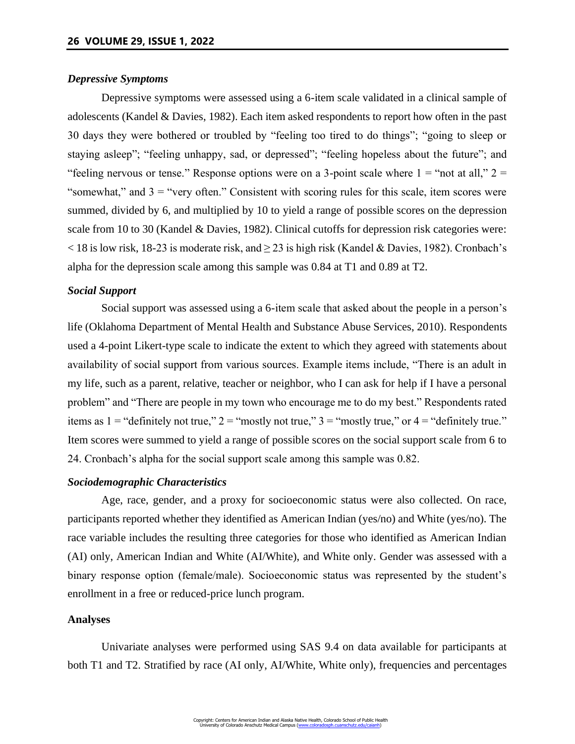# *Depressive Symptoms*

Depressive symptoms were assessed using a 6-item scale validated in a clinical sample of adolescents (Kandel & Davies, 1982). Each item asked respondents to report how often in the past 30 days they were bothered or troubled by "feeling too tired to do things"; "going to sleep or staying asleep"; "feeling unhappy, sad, or depressed"; "feeling hopeless about the future"; and "feeling nervous or tense." Response options were on a 3-point scale where  $1 =$ "not at all,"  $2 =$ "somewhat," and  $3 =$  "very often." Consistent with scoring rules for this scale, item scores were summed, divided by 6, and multiplied by 10 to yield a range of possible scores on the depression scale from 10 to 30 (Kandel & Davies, 1982). Clinical cutoffs for depression risk categories were:  $<$  18 is low risk, 18-23 is moderate risk, and  $\geq$  23 is high risk (Kandel & Davies, 1982). Cronbach's alpha for the depression scale among this sample was 0.84 at T1 and 0.89 at T2.

# *Social Support*

Social support was assessed using a 6-item scale that asked about the people in a person's life (Oklahoma Department of Mental Health and Substance Abuse Services, 2010). Respondents used a 4-point Likert-type scale to indicate the extent to which they agreed with statements about availability of social support from various sources. Example items include, "There is an adult in my life, such as a parent, relative, teacher or neighbor, who I can ask for help if I have a personal problem" and "There are people in my town who encourage me to do my best." Respondents rated items as  $1 =$  "definitely not true,"  $2 =$  "mostly not true,"  $3 =$  "mostly true," or  $4 =$  "definitely true." Item scores were summed to yield a range of possible scores on the social support scale from 6 to 24. Cronbach's alpha for the social support scale among this sample was 0.82.

# *Sociodemographic Characteristics*

Age, race, gender, and a proxy for socioeconomic status were also collected. On race, participants reported whether they identified as American Indian (yes/no) and White (yes/no). The race variable includes the resulting three categories for those who identified as American Indian (AI) only, American Indian and White (AI/White), and White only. Gender was assessed with a binary response option (female/male). Socioeconomic status was represented by the student's enrollment in a free or reduced-price lunch program.

#### **Analyses**

Univariate analyses were performed using SAS 9.4 on data available for participants at both T1 and T2. Stratified by race (AI only, AI/White, White only), frequencies and percentages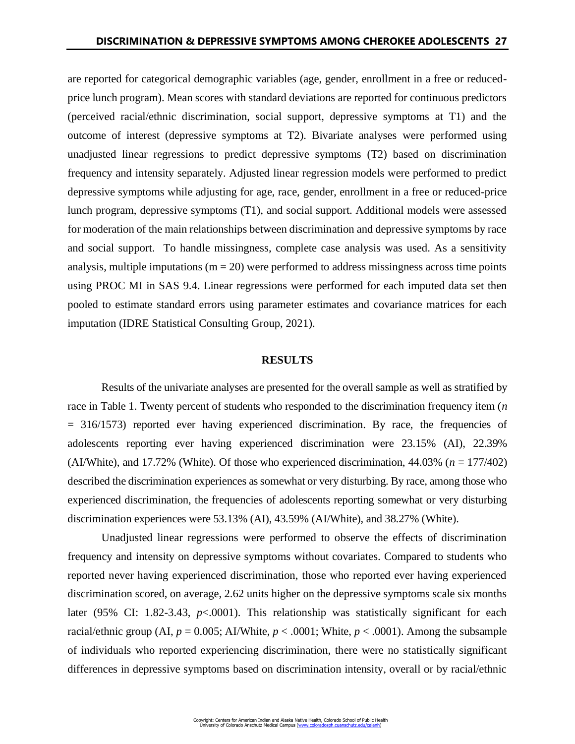are reported for categorical demographic variables (age, gender, enrollment in a free or reducedprice lunch program). Mean scores with standard deviations are reported for continuous predictors (perceived racial/ethnic discrimination, social support, depressive symptoms at T1) and the outcome of interest (depressive symptoms at T2). Bivariate analyses were performed using unadjusted linear regressions to predict depressive symptoms (T2) based on discrimination frequency and intensity separately. Adjusted linear regression models were performed to predict depressive symptoms while adjusting for age, race, gender, enrollment in a free or reduced-price lunch program, depressive symptoms (T1), and social support. Additional models were assessed for moderation of the main relationships between discrimination and depressive symptoms by race and social support. To handle missingness, complete case analysis was used. As a sensitivity analysis, multiple imputations  $(m = 20)$  were performed to address missingness across time points using PROC MI in SAS 9.4. Linear regressions were performed for each imputed data set then pooled to estimate standard errors using parameter estimates and covariance matrices for each imputation (IDRE Statistical Consulting Group, 2021).

#### **RESULTS**

Results of the univariate analyses are presented for the overall sample as well as stratified by race in Table 1. Twenty percent of students who responded to the discrimination frequency item (*n*  = 316/1573) reported ever having experienced discrimination. By race, the frequencies of adolescents reporting ever having experienced discrimination were 23.15% (AI), 22.39% (AI/White), and 17.72% (White). Of those who experienced discrimination, 44.03% (*n* = 177/402) described the discrimination experiences as somewhat or very disturbing. By race, among those who experienced discrimination, the frequencies of adolescents reporting somewhat or very disturbing discrimination experiences were 53.13% (AI), 43.59% (AI/White), and 38.27% (White).

Unadjusted linear regressions were performed to observe the effects of discrimination frequency and intensity on depressive symptoms without covariates. Compared to students who reported never having experienced discrimination, those who reported ever having experienced discrimination scored, on average, 2.62 units higher on the depressive symptoms scale six months later (95% CI: 1.82-3.43, *p*<.0001). This relationship was statistically significant for each racial/ethnic group (AI,  $p = 0.005$ ; AI/White,  $p < .0001$ ; White,  $p < .0001$ ). Among the subsample of individuals who reported experiencing discrimination, there were no statistically significant differences in depressive symptoms based on discrimination intensity, overall or by racial/ethnic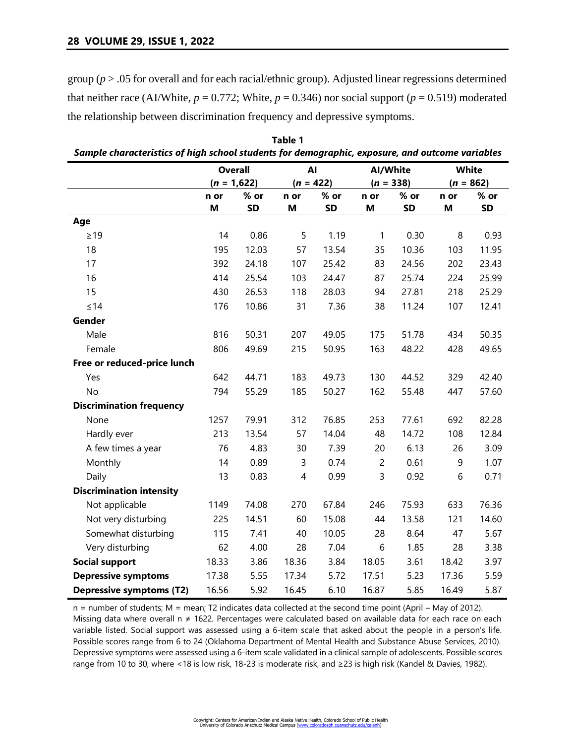group (*p* > .05 for overall and for each racial/ethnic group). Adjusted linear regressions determined that neither race (AI/White,  $p = 0.772$ ; White,  $p = 0.346$ ) nor social support ( $p = 0.519$ ) moderated the relationship between discrimination frequency and depressive symptoms.

|                                 | <b>Overall</b> |           | AI          |           | Al/White       |           | <b>White</b> |           |
|---------------------------------|----------------|-----------|-------------|-----------|----------------|-----------|--------------|-----------|
|                                 | $(n = 1,622)$  |           | $(n = 422)$ |           | $(n = 338)$    |           | $(n = 862)$  |           |
|                                 | n or           | % or      | n or        | $%$ or    | n or           | $%$ or    | n or         | % or      |
|                                 | M              | <b>SD</b> | M           | <b>SD</b> | M              | <b>SD</b> | M            | <b>SD</b> |
| Age                             |                |           |             |           |                |           |              |           |
| $\geq$ 19                       | 14             | 0.86      | 5           | 1.19      | $\mathbf{1}$   | 0.30      | 8            | 0.93      |
| 18                              | 195            | 12.03     | 57          | 13.54     | 35             | 10.36     | 103          | 11.95     |
| 17                              | 392            | 24.18     | 107         | 25.42     | 83             | 24.56     | 202          | 23.43     |
| 16                              | 414            | 25.54     | 103         | 24.47     | 87             | 25.74     | 224          | 25.99     |
| 15                              | 430            | 26.53     | 118         | 28.03     | 94             | 27.81     | 218          | 25.29     |
| $\leq 14$                       | 176            | 10.86     | 31          | 7.36      | 38             | 11.24     | 107          | 12.41     |
| Gender                          |                |           |             |           |                |           |              |           |
| Male                            | 816            | 50.31     | 207         | 49.05     | 175            | 51.78     | 434          | 50.35     |
| Female                          | 806            | 49.69     | 215         | 50.95     | 163            | 48.22     | 428          | 49.65     |
| Free or reduced-price lunch     |                |           |             |           |                |           |              |           |
| Yes                             | 642            | 44.71     | 183         | 49.73     | 130            | 44.52     | 329          | 42.40     |
| No                              | 794            | 55.29     | 185         | 50.27     | 162            | 55.48     | 447          | 57.60     |
| <b>Discrimination frequency</b> |                |           |             |           |                |           |              |           |
| None                            | 1257           | 79.91     | 312         | 76.85     | 253            | 77.61     | 692          | 82.28     |
| Hardly ever                     | 213            | 13.54     | 57          | 14.04     | 48             | 14.72     | 108          | 12.84     |
| A few times a year              | 76             | 4.83      | 30          | 7.39      | 20             | 6.13      | 26           | 3.09      |
| Monthly                         | 14             | 0.89      | 3           | 0.74      | $\overline{c}$ | 0.61      | 9            | 1.07      |
| Daily                           | 13             | 0.83      | 4           | 0.99      | 3              | 0.92      | 6            | 0.71      |
| <b>Discrimination intensity</b> |                |           |             |           |                |           |              |           |
| Not applicable                  | 1149           | 74.08     | 270         | 67.84     | 246            | 75.93     | 633          | 76.36     |
| Not very disturbing             | 225            | 14.51     | 60          | 15.08     | 44             | 13.58     | 121          | 14.60     |
| Somewhat disturbing             | 115            | 7.41      | 40          | 10.05     | 28             | 8.64      | 47           | 5.67      |
| Very disturbing                 | 62             | 4.00      | 28          | 7.04      | 6              | 1.85      | 28           | 3.38      |
| <b>Social support</b>           | 18.33          | 3.86      | 18.36       | 3.84      | 18.05          | 3.61      | 18.42        | 3.97      |
| <b>Depressive symptoms</b>      | 17.38          | 5.55      | 17.34       | 5.72      | 17.51          | 5.23      | 17.36        | 5.59      |
| <b>Depressive symptoms (T2)</b> | 16.56          | 5.92      | 16.45       | 6.10      | 16.87          | 5.85      | 16.49        | 5.87      |

**Table 1** *Sample characteristics of high school students for demographic, exposure, and outcome variables*

n = number of students; M = mean; T2 indicates data collected at the second time point (April – May of 2012). Missing data where overall n ≠ 1622. Percentages were calculated based on available data for each race on each variable listed. Social support was assessed using a 6-item scale that asked about the people in a person's life. Possible scores range from 6 to 24 (Oklahoma Department of Mental Health and Substance Abuse Services, 2010). Depressive symptoms were assessed using a 6-item scale validated in a clinical sample of adolescents. Possible scores range from 10 to 30, where <18 is low risk, 18-23 is moderate risk, and ≥23 is high risk (Kandel & Davies, 1982).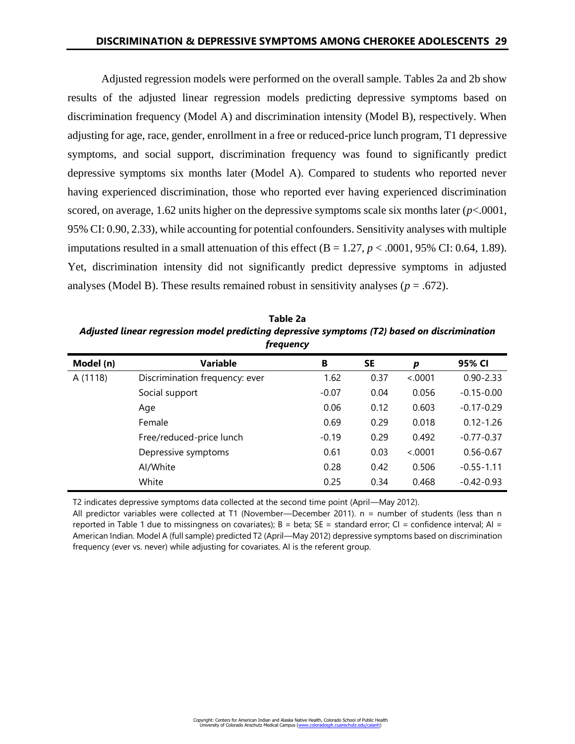Adjusted regression models were performed on the overall sample. Tables 2a and 2b show results of the adjusted linear regression models predicting depressive symptoms based on discrimination frequency (Model A) and discrimination intensity (Model B), respectively. When adjusting for age, race, gender, enrollment in a free or reduced-price lunch program, T1 depressive symptoms, and social support, discrimination frequency was found to significantly predict depressive symptoms six months later (Model A). Compared to students who reported never having experienced discrimination, those who reported ever having experienced discrimination scored, on average, 1.62 units higher on the depressive symptoms scale six months later (*p*<.0001, 95% CI: 0.90, 2.33), while accounting for potential confounders. Sensitivity analyses with multiple imputations resulted in a small attenuation of this effect  $(B = 1.27, p < .0001, 95\% \text{ CI}$ : 0.64, 1.89). Yet, discrimination intensity did not significantly predict depressive symptoms in adjusted analyses (Model B). These results remained robust in sensitivity analyses ( $p = .672$ ).

**Table 2a** *Adjusted linear regression model predicting depressive symptoms (T2) based on discrimination frequency*

| Model (n) | <b>Variable</b>                | B       | SE   | p       | 95% CI         |
|-----------|--------------------------------|---------|------|---------|----------------|
| A (1118)  | Discrimination frequency: ever | 1.62    | 0.37 | < .0001 | $0.90 - 2.33$  |
|           | Social support                 | $-0.07$ | 0.04 | 0.056   | $-0.15 - 0.00$ |
|           | Age                            | 0.06    | 0.12 | 0.603   | $-0.17 - 0.29$ |
|           | Female                         | 0.69    | 0.29 | 0.018   | $0.12 - 1.26$  |
|           | Free/reduced-price lunch       | $-0.19$ | 0.29 | 0.492   | $-0.77 - 0.37$ |
|           | Depressive symptoms            | 0.61    | 0.03 | < .0001 | $0.56 - 0.67$  |
|           | Al/White                       | 0.28    | 0.42 | 0.506   | $-0.55 - 1.11$ |
|           | White                          | 0.25    | 0.34 | 0.468   | $-0.42 - 0.93$ |

T2 indicates depressive symptoms data collected at the second time point (April—May 2012).

All predictor variables were collected at T1 (November—December 2011). n = number of students (less than n reported in Table 1 due to missingness on covariates);  $B = \beta$  = standard error; CI = confidence interval; AI = American Indian. Model A (full sample) predicted T2 (April—May 2012) depressive symptoms based on discrimination frequency (ever vs. never) while adjusting for covariates. AI is the referent group.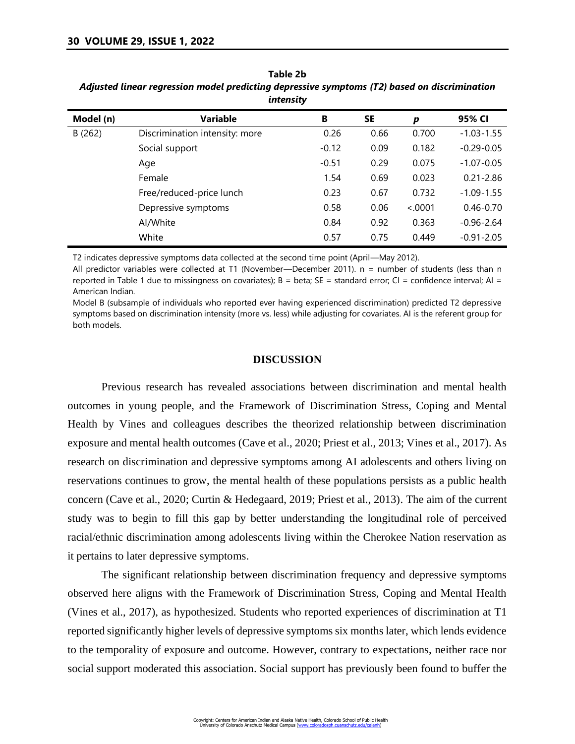| Model (n) | Variable                       | B       | <b>SE</b> | p       | 95% CI         |
|-----------|--------------------------------|---------|-----------|---------|----------------|
| B(262)    | Discrimination intensity: more | 0.26    | 0.66      | 0.700   | $-1.03 - 1.55$ |
|           | Social support                 | $-0.12$ | 0.09      | 0.182   | $-0.29 - 0.05$ |
|           | Age                            | $-0.51$ | 0.29      | 0.075   | $-1.07 - 0.05$ |
|           | Female                         | 1.54    | 0.69      | 0.023   | $0.21 - 2.86$  |
|           | Free/reduced-price lunch       | 0.23    | 0.67      | 0.732   | $-1.09 - 1.55$ |
|           | Depressive symptoms            | 0.58    | 0.06      | < .0001 | $0.46 - 0.70$  |
|           | Al/White                       | 0.84    | 0.92      | 0.363   | $-0.96 - 2.64$ |
|           | White                          | 0.57    | 0.75      | 0.449   | $-0.91 - 2.05$ |
|           |                                |         |           |         |                |

**Table 2b** *Adjusted linear regression model predicting depressive symptoms (T2) based on discrimination intensity*

T2 indicates depressive symptoms data collected at the second time point (April—May 2012).

All predictor variables were collected at T1 (November—December 2011). n = number of students (less than n reported in Table 1 due to missingness on covariates);  $B = \beta$  beta;  $SE = \beta$  standard error;  $CI = \beta$  confidence interval; AI = American Indian.

Model B (subsample of individuals who reported ever having experienced discrimination) predicted T2 depressive symptoms based on discrimination intensity (more vs. less) while adjusting for covariates. AI is the referent group for both models.

#### **DISCUSSION**

Previous research has revealed associations between discrimination and mental health outcomes in young people, and the Framework of Discrimination Stress, Coping and Mental Health by Vines and colleagues describes the theorized relationship between discrimination exposure and mental health outcomes (Cave et al., 2020; Priest et al., 2013; Vines et al., 2017). As research on discrimination and depressive symptoms among AI adolescents and others living on reservations continues to grow, the mental health of these populations persists as a public health concern (Cave et al., 2020; Curtin & Hedegaard, 2019; Priest et al., 2013). The aim of the current study was to begin to fill this gap by better understanding the longitudinal role of perceived racial/ethnic discrimination among adolescents living within the Cherokee Nation reservation as it pertains to later depressive symptoms.

The significant relationship between discrimination frequency and depressive symptoms observed here aligns with the Framework of Discrimination Stress, Coping and Mental Health (Vines et al., 2017), as hypothesized. Students who reported experiences of discrimination at T1 reported significantly higher levels of depressive symptoms six months later, which lends evidence to the temporality of exposure and outcome. However, contrary to expectations, neither race nor social support moderated this association. Social support has previously been found to buffer the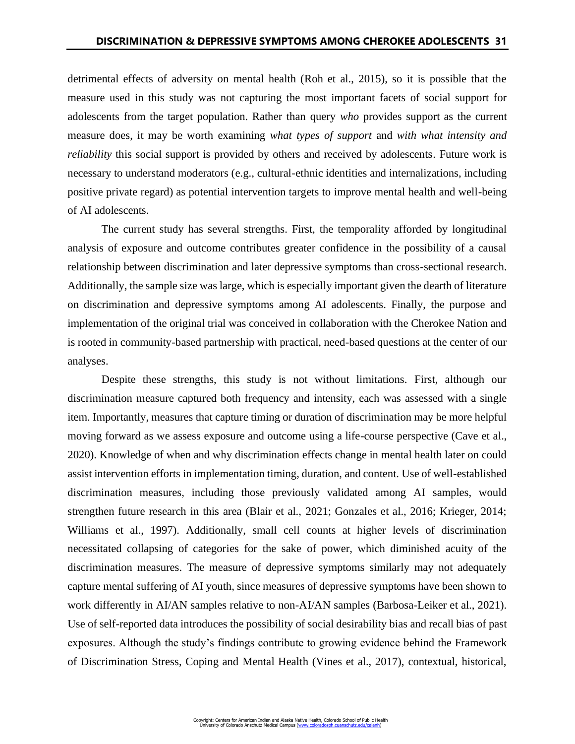detrimental effects of adversity on mental health (Roh et al., 2015), so it is possible that the measure used in this study was not capturing the most important facets of social support for adolescents from the target population. Rather than query *who* provides support as the current measure does, it may be worth examining *what types of support* and *with what intensity and reliability* this social support is provided by others and received by adolescents. Future work is necessary to understand moderators (e.g., cultural-ethnic identities and internalizations, including positive private regard) as potential intervention targets to improve mental health and well-being of AI adolescents.

The current study has several strengths. First, the temporality afforded by longitudinal analysis of exposure and outcome contributes greater confidence in the possibility of a causal relationship between discrimination and later depressive symptoms than cross-sectional research. Additionally, the sample size was large, which is especially important given the dearth of literature on discrimination and depressive symptoms among AI adolescents. Finally, the purpose and implementation of the original trial was conceived in collaboration with the Cherokee Nation and is rooted in community-based partnership with practical, need-based questions at the center of our analyses.

Despite these strengths, this study is not without limitations. First, although our discrimination measure captured both frequency and intensity, each was assessed with a single item. Importantly, measures that capture timing or duration of discrimination may be more helpful moving forward as we assess exposure and outcome using a life-course perspective (Cave et al., 2020). Knowledge of when and why discrimination effects change in mental health later on could assist intervention efforts in implementation timing, duration, and content. Use of well-established discrimination measures, including those previously validated among AI samples, would strengthen future research in this area (Blair et al., 2021; Gonzales et al., 2016; Krieger, 2014; Williams et al., 1997). Additionally, small cell counts at higher levels of discrimination necessitated collapsing of categories for the sake of power, which diminished acuity of the discrimination measures. The measure of depressive symptoms similarly may not adequately capture mental suffering of AI youth, since measures of depressive symptoms have been shown to work differently in AI/AN samples relative to non-AI/AN samples (Barbosa-Leiker et al., 2021). Use of self-reported data introduces the possibility of social desirability bias and recall bias of past exposures. Although the study's findings contribute to growing evidence behind the Framework of Discrimination Stress, Coping and Mental Health (Vines et al., 2017), contextual, historical,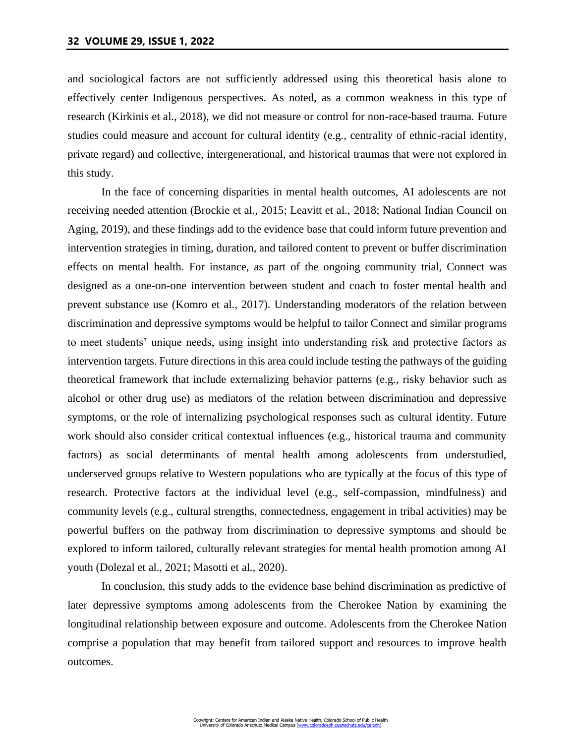and sociological factors are not sufficiently addressed using this theoretical basis alone to effectively center Indigenous perspectives. As noted, as a common weakness in this type of research (Kirkinis et al., 2018), we did not measure or control for non-race-based trauma. Future studies could measure and account for cultural identity (e.g., centrality of ethnic-racial identity, private regard) and collective, intergenerational, and historical traumas that were not explored in this study.

In the face of concerning disparities in mental health outcomes, AI adolescents are not receiving needed attention (Brockie et al., 2015; Leavitt et al., 2018; National Indian Council on Aging, 2019), and these findings add to the evidence base that could inform future prevention and intervention strategies in timing, duration, and tailored content to prevent or buffer discrimination effects on mental health. For instance, as part of the ongoing community trial, Connect was designed as a one-on-one intervention between student and coach to foster mental health and prevent substance use (Komro et al., 2017). Understanding moderators of the relation between discrimination and depressive symptoms would be helpful to tailor Connect and similar programs to meet students' unique needs, using insight into understanding risk and protective factors as intervention targets. Future directions in this area could include testing the pathways of the guiding theoretical framework that include externalizing behavior patterns (e.g., risky behavior such as alcohol or other drug use) as mediators of the relation between discrimination and depressive symptoms, or the role of internalizing psychological responses such as cultural identity. Future work should also consider critical contextual influences (e.g., historical trauma and community factors) as social determinants of mental health among adolescents from understudied, underserved groups relative to Western populations who are typically at the focus of this type of research. Protective factors at the individual level (e.g., self-compassion, mindfulness) and community levels (e.g., cultural strengths, connectedness, engagement in tribal activities) may be powerful buffers on the pathway from discrimination to depressive symptoms and should be explored to inform tailored, culturally relevant strategies for mental health promotion among AI youth (Dolezal et al., 2021; Masotti et al., 2020).

In conclusion, this study adds to the evidence base behind discrimination as predictive of later depressive symptoms among adolescents from the Cherokee Nation by examining the longitudinal relationship between exposure and outcome. Adolescents from the Cherokee Nation comprise a population that may benefit from tailored support and resources to improve health outcomes.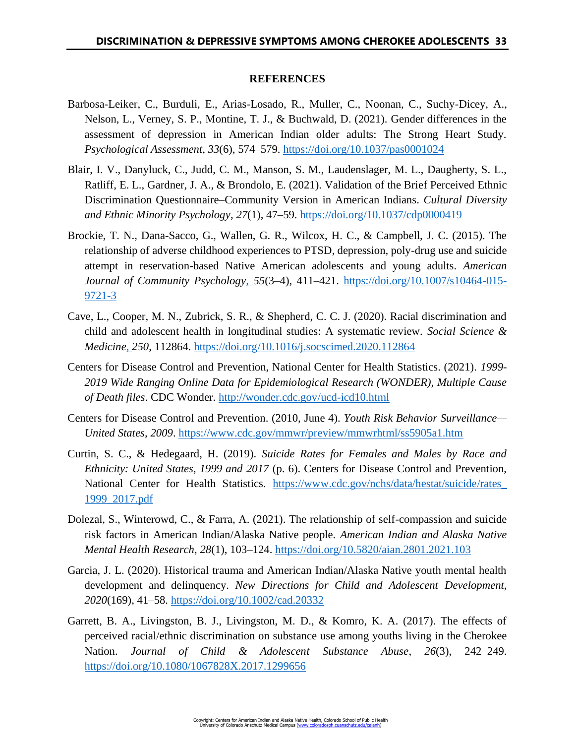# **REFERENCES**

- Barbosa-Leiker, C., Burduli, E., Arias-Losado, R., Muller, C., Noonan, C., Suchy-Dicey, A., Nelson, L., Verney, S. P., Montine, T. J., & Buchwald, D. (2021). Gender differences in the assessment of depression in American Indian older adults: The Strong Heart Study. *Psychological Assessment*, *33*(6), 574–579.<https://doi.org/10.1037/pas0001024>
- Blair, I. V., Danyluck, C., Judd, C. M., Manson, S. M., Laudenslager, M. L., Daugherty, S. L., Ratliff, E. L., Gardner, J. A., & Brondolo, E. (2021). Validation of the Brief Perceived Ethnic Discrimination Questionnaire–Community Version in American Indians. *Cultural Diversity and Ethnic Minority Psychology*, *27*(1), 47–59.<https://doi.org/10.1037/cdp0000419>
- Brockie, T. N., Dana-Sacco, G., Wallen, G. R., Wilcox, H. C., & Campbell, J. C. (2015). The relationship of adverse childhood experiences to PTSD, depression, poly-drug use and suicide attempt in reservation-based Native American adolescents and young adults. *American Journal of Community Psychology*[,](https://www.zotero.org/google-docs/?xMI2BI) *55*(3–4), 411–421. [https://doi.org/10.1007/s10464-015-](https://doi.org/10.1007/s10464-015-9721-3) [9721-3](https://doi.org/10.1007/s10464-015-9721-3)
- Cave, L., Cooper, M. N., Zubrick, S. R., & Shepherd, C. C. J. (2020). Racial discrimination and child and adolescent health in longitudinal studies: A systematic review. *Social Science & Medicine*[,](https://www.zotero.org/google-docs/?xMI2BI) *250*, 112864.<https://doi.org/10.1016/j.socscimed.2020.112864>
- Centers for Disease Control and Prevention, National Center for Health Statistics. (2021). *1999- 2019 Wide Ranging Online Data for Epidemiological Research (WONDER), Multiple Cause of Death files*. CDC Wonder.<http://wonder.cdc.gov/ucd-icd10.html>
- Centers for Disease Control and Prevention. (2010, June 4). *Youth Risk Behavior Surveillance— United States, 2009*.<https://www.cdc.gov/mmwr/preview/mmwrhtml/ss5905a1.htm>
- Curtin, S. C., & Hedegaard, H. (2019). *Suicide Rates for Females and Males by Race and Ethnicity: United States, 1999 and 2017* (p. 6). Centers for Disease Control and Prevention, National Center for Health Statistics. [https://www.cdc.gov/nchs/data/hestat/suicide/rates\\_](https://www.cdc.gov/nchs/data/hestat/suicide/rates_1999_2017.pdf) [1999\\_2017.pdf](https://www.cdc.gov/nchs/data/hestat/suicide/rates_1999_2017.pdf)
- Dolezal, S., Winterowd, C., & Farra, A. (2021). The relationship of self-compassion and suicide risk factors in American Indian/Alaska Native people. *American Indian and Alaska Native Mental Health Research*, *28*(1), 103–124.<https://doi.org/10.5820/aian.2801.2021.103>
- Garcia, J. L. (2020). Historical trauma and American Indian/Alaska Native youth mental health development and delinquency. *New Directions for Child and Adolescent Development*, *2020*(169), 41–58.<https://doi.org/10.1002/cad.20332>
- Garrett, B. A., Livingston, B. J., Livingston, M. D., & Komro, K. A. (2017). The effects of perceived racial/ethnic discrimination on substance use among youths living in the Cherokee Nation. *Journal of Child & Adolescent Substance Abuse*, *26*(3), 242–249. <https://doi.org/10.1080/1067828X.2017.1299656>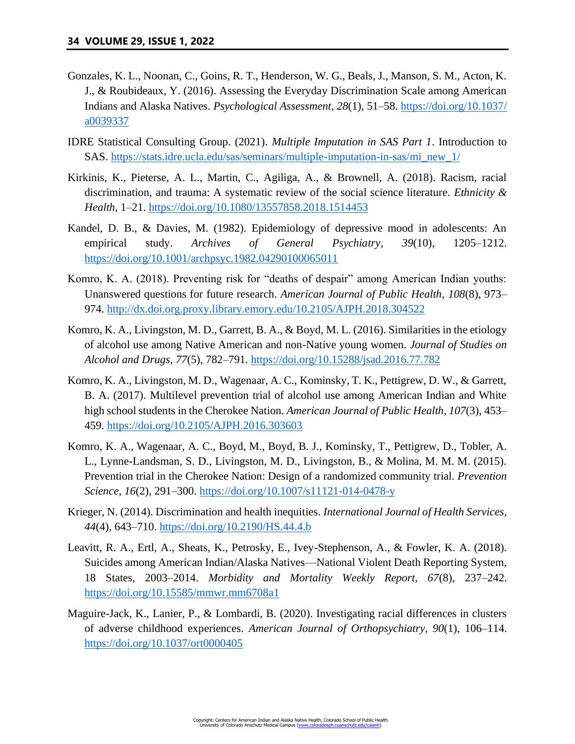- Gonzales, K. L., Noonan, C., Goins, R. T., Henderson, W. G., Beals, J., Manson, S. M., Acton, K. J., & Roubideaux, Y. (2016). Assessing the Everyday Discrimination Scale among American Indians and Alaska Natives. *Psychological Assessment*, *28*(1), 51–58. [https://doi.org/10.1037/](https://doi.org/10.1037/a0039337) [a0039337](https://doi.org/10.1037/a0039337)
- IDRE Statistical Consulting Group. (2021). *Multiple Imputation in SAS Part 1*. Introduction to SAS. [https://stats.idre.ucla.edu/sas/seminars/multiple-imputation-in-sas/mi\\_new\\_1/](https://stats.idre.ucla.edu/sas/seminars/multiple-imputation-in-sas/mi_new_1/)
- Kirkinis, K., Pieterse, A. L., Martin, C., Agiliga, A., & Brownell, A. (2018). Racism, racial discrimination, and trauma: A systematic review of the social science literature. *Ethnicity & Health*, 1–21.<https://doi.org/10.1080/13557858.2018.1514453>
- Kandel, D. B., & Davies, M. (1982). Epidemiology of depressive mood in adolescents: An empirical study. *Archives of General Psychiatry*, *39*(10), 1205–1212. <https://doi.org/10.1001/archpsyc.1982.04290100065011>
- Komro, K. A. (2018). Preventing risk for "deaths of despair" among American Indian youths: Unanswered questions for future research. *American Journal of Public Health*, *108*(8), 973– 974.<http://dx.doi.org.proxy.library.emory.edu/10.2105/AJPH.2018.304522>
- Komro, K. A., Livingston, M. D., Garrett, B. A., & Boyd, M. L. (2016). Similarities in the etiology of alcohol use among Native American and non-Native young women. *Journal of Studies on Alcohol and Drugs*, *77*(5), 782–791.<https://doi.org/10.15288/jsad.2016.77.782>
- Komro, K. A., Livingston, M. D., Wagenaar, A. C., Kominsky, T. K., Pettigrew, D. W., & Garrett, B. A. (2017). Multilevel prevention trial of alcohol use among American Indian and White high school students in the Cherokee Nation. *American Journal of Public Health*, *107*(3), 453– 459.<https://doi.org/10.2105/AJPH.2016.303603>
- Komro, K. A., Wagenaar, A. C., Boyd, M., Boyd, B. J., Kominsky, T., Pettigrew, D., Tobler, A. L., Lynne-Landsman, S. D., Livingston, M. D., Livingston, B., & Molina, M. M. M. (2015). Prevention trial in the Cherokee Nation: Design of a randomized community trial. *Prevention Science*, *16*(2), 291–300.<https://doi.org/10.1007/s11121-014-0478-y>
- Krieger, N. (2014). Discrimination and health inequities. *International Journal of Health Services, 44*(4), 643–710.<https://doi.org/10.2190/HS.44.4.b>
- Leavitt, R. A., Ertl, A., Sheats, K., Petrosky, E., Ivey-Stephenson, A., & Fowler, K. A. (2018). Suicides among American Indian/Alaska Natives—National Violent Death Reporting System, 18 States, 2003–2014. *Morbidity and Mortality Weekly Report, 67*(8), 237–242. <https://doi.org/10.15585/mmwr.mm6708a1>
- Maguire-Jack, K., Lanier, P., & Lombardi, B. (2020). Investigating racial differences in clusters of adverse childhood experiences. *American Journal of Orthopsychiatry, 90*(1), 106–114. <https://doi.org/10.1037/ort0000405>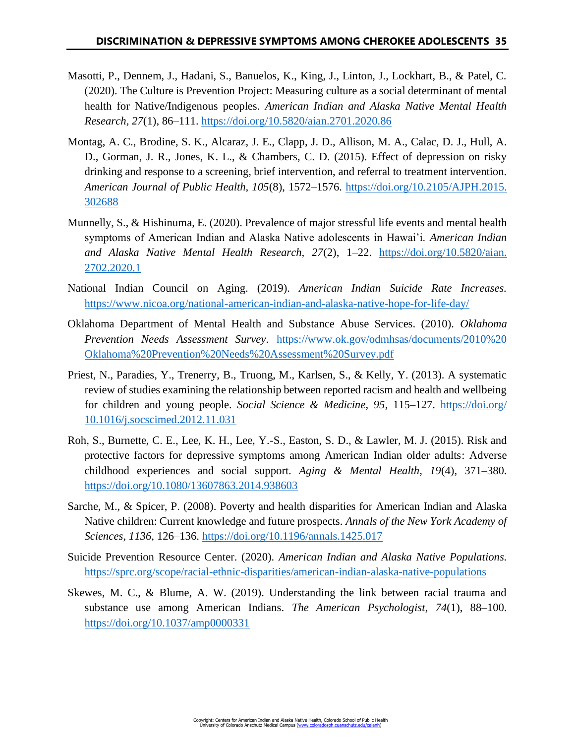- Masotti, P., Dennem, J., Hadani, S., Banuelos, K., King, J., Linton, J., Lockhart, B., & Patel, C. (2020). The Culture is Prevention Project: Measuring culture as a social determinant of mental health for Native/Indigenous peoples. *American Indian and Alaska Native Mental Health Research, 27*(1), 86–111.<https://doi.org/10.5820/aian.2701.2020.86>
- Montag, A. C., Brodine, S. K., Alcaraz, J. E., Clapp, J. D., Allison, M. A., Calac, D. J., Hull, A. D., Gorman, J. R., Jones, K. L., & Chambers, C. D. (2015). Effect of depression on risky drinking and response to a screening, brief intervention, and referral to treatment intervention. *American Journal of Public Health, 105*(8), 1572–1576. [https://doi.org/10.2105/AJPH.2015.](https://doi.org/10.2105/AJPH.2015.302688) [302688](https://doi.org/10.2105/AJPH.2015.302688)
- Munnelly, S., & Hishinuma, E. (2020). Prevalence of major stressful life events and mental health symptoms of American Indian and Alaska Native adolescents in Hawai'i. *American Indian and Alaska Native Mental Health Research, 27*(2), 1–22. [https://doi.org/10.5820/aian.](https://doi.org/10.5820/aian.2702.2020.1) [2702.2020.1](https://doi.org/10.5820/aian.2702.2020.1)
- National Indian Council on Aging. (2019). *American Indian Suicide Rate Increases.*  <https://www.nicoa.org/national-american-indian-and-alaska-native-hope-for-life-day/>
- Oklahoma Department of Mental Health and Substance Abuse Services. (2010). *Oklahoma Prevention Needs Assessment Survey*. [https://www.ok.gov/odmhsas/documents/2010%20](https://www.ok.gov/odmhsas/documents/2010%20Oklahoma%20Prevention%20Needs%20Assessment%20Survey.pdf) [Oklahoma%20Prevention%20Needs%20Assessment%20Survey.pdf](https://www.ok.gov/odmhsas/documents/2010%20Oklahoma%20Prevention%20Needs%20Assessment%20Survey.pdf)
- Priest, N., Paradies, Y., Trenerry, B., Truong, M., Karlsen, S., & Kelly, Y. (2013). A systematic review of studies examining the relationship between reported racism and health and wellbeing for children and young people. *Social Science & Medicine, 95*, 115–127. [https://doi.org/](https://doi.org/10.1016/j.socscimed.2012.11.031) [10.1016/j.socscimed.2012.11.031](https://doi.org/10.1016/j.socscimed.2012.11.031)
- Roh, S., Burnette, C. E., Lee, K. H., Lee, Y.-S., Easton, S. D., & Lawler, M. J. (2015). Risk and protective factors for depressive symptoms among American Indian older adults: Adverse childhood experiences and social support. *Aging & Mental Health, 19*(4), 371–380. <https://doi.org/10.1080/13607863.2014.938603>
- Sarche, M., & Spicer, P. (2008). Poverty and health disparities for American Indian and Alaska Native children: Current knowledge and future prospects. *Annals of the New York Academy of Sciences, 1136,* 126–136.<https://doi.org/10.1196/annals.1425.017>
- Suicide Prevention Resource Center. (2020). *American Indian and Alaska Native Populations.* <https://sprc.org/scope/racial-ethnic-disparities/american-indian-alaska-native-populations>
- Skewes, M. C., & Blume, A. W. (2019). Understanding the link between racial trauma and substance use among American Indians. *The American Psychologist*, *74*(1), 88–100. <https://doi.org/10.1037/amp0000331>